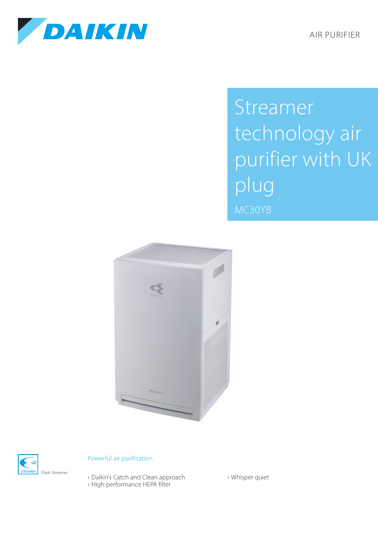AIR PURIFIER



Streamer technology air purifier with UK plug MC30YB





## Powerful air purification

› Daikin's Catch and Clean approach › High performance HEPA filter

› Whisper quiet